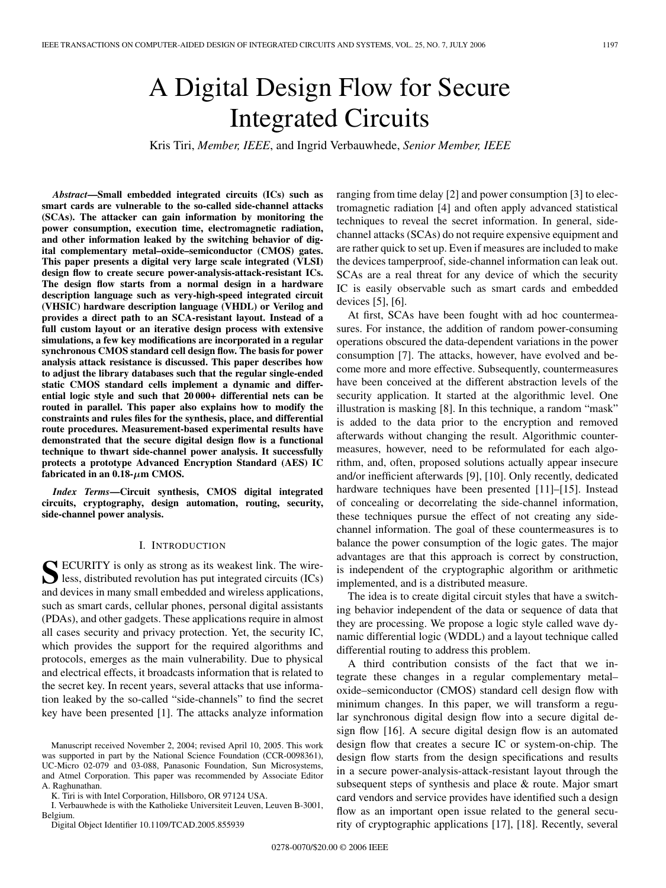# A Digital Design Flow for Secure Integrated Circuits

Kris Tiri, *Member, IEEE*, and Ingrid Verbauwhede, *Senior Member, IEEE*

*Abstract***—Small embedded integrated circuits (ICs) such as smart cards are vulnerable to the so-called side-channel attacks (SCAs). The attacker can gain information by monitoring the power consumption, execution time, electromagnetic radiation, and other information leaked by the switching behavior of digital complementary metal–oxide–semiconductor (CMOS) gates. This paper presents a digital very large scale integrated (VLSI) design flow to create secure power-analysis-attack-resistant ICs. The design flow starts from a normal design in a hardware description language such as very-high-speed integrated circuit (VHSIC) hardware description language (VHDL) or Verilog and provides a direct path to an SCA-resistant layout. Instead of a full custom layout or an iterative design process with extensive simulations, a few key modifications are incorporated in a regular synchronous CMOS standard cell design flow. The basis for power analysis attack resistance is discussed. This paper describes how to adjust the library databases such that the regular single-ended static CMOS standard cells implement a dynamic and differential logic style and such that 20 000+ differential nets can be routed in parallel. This paper also explains how to modify the constraints and rules files for the synthesis, place, and differential route procedures. Measurement-based experimental results have demonstrated that the secure digital design flow is a functional technique to thwart side-channel power analysis. It successfully protects a prototype Advanced Encryption Standard (AES) IC fabricated in an 0.18-** $\mu$ **m CMOS.** 

*Index Terms***—Circuit synthesis, CMOS digital integrated circuits, cryptography, design automation, routing, security, side-channel power analysis.**

#### I. INTRODUCTION

S ECURITY is only as strong as its weakest link. The wire-<br>less, distributed revolution has put integrated circuits (ICs) and devices in many small embedded and wireless applications, such as smart cards, cellular phones, personal digital assistants (PDAs), and other gadgets. These applications require in almost all cases security and privacy protection. Yet, the security IC, which provides the support for the required algorithms and protocols, emerges as the main vulnerability. Due to physical and electrical effects, it broadcasts information that is related to the secret key. In recent years, several attacks that use information leaked by the so-called "side-channels" to find the secret key have been presented [1]. The attacks analyze information

I. Verbauwhede is with the Katholieke Universiteit Leuven, Leuven B-3001, Belgium.

Digital Object Identifier 10.1109/TCAD.2005.855939

ranging from time delay [2] and power consumption [3] to electromagnetic radiation [4] and often apply advanced statistical techniques to reveal the secret information. In general, sidechannel attacks (SCAs) do not require expensive equipment and are rather quick to set up. Even if measures are included to make the devices tamperproof, side-channel information can leak out. SCAs are a real threat for any device of which the security IC is easily observable such as smart cards and embedded devices [5], [6].

At first, SCAs have been fought with ad hoc countermeasures. For instance, the addition of random power-consuming operations obscured the data-dependent variations in the power consumption [7]. The attacks, however, have evolved and become more and more effective. Subsequently, countermeasures have been conceived at the different abstraction levels of the security application. It started at the algorithmic level. One illustration is masking [8]. In this technique, a random "mask" is added to the data prior to the encryption and removed afterwards without changing the result. Algorithmic countermeasures, however, need to be reformulated for each algorithm, and, often, proposed solutions actually appear insecure and/or inefficient afterwards [9], [10]. Only recently, dedicated hardware techniques have been presented [11]–[15]. Instead of concealing or decorrelating the side-channel information, these techniques pursue the effect of not creating any sidechannel information. The goal of these countermeasures is to balance the power consumption of the logic gates. The major advantages are that this approach is correct by construction, is independent of the cryptographic algorithm or arithmetic implemented, and is a distributed measure.

The idea is to create digital circuit styles that have a switching behavior independent of the data or sequence of data that they are processing. We propose a logic style called wave dynamic differential logic (WDDL) and a layout technique called differential routing to address this problem.

A third contribution consists of the fact that we integrate these changes in a regular complementary metal– oxide–semiconductor (CMOS) standard cell design flow with minimum changes. In this paper, we will transform a regular synchronous digital design flow into a secure digital design flow [16]. A secure digital design flow is an automated design flow that creates a secure IC or system-on-chip. The design flow starts from the design specifications and results in a secure power-analysis-attack-resistant layout through the subsequent steps of synthesis and place & route. Major smart card vendors and service provides have identified such a design flow as an important open issue related to the general security of cryptographic applications [17], [18]. Recently, several

Manuscript received November 2, 2004; revised April 10, 2005. This work was supported in part by the National Science Foundation (CCR-0098361), UC-Micro 02-079 and 03-088, Panasonic Foundation, Sun Microsystems, and Atmel Corporation. This paper was recommended by Associate Editor A. Raghunathan.

K. Tiri is with Intel Corporation, Hillsboro, OR 97124 USA.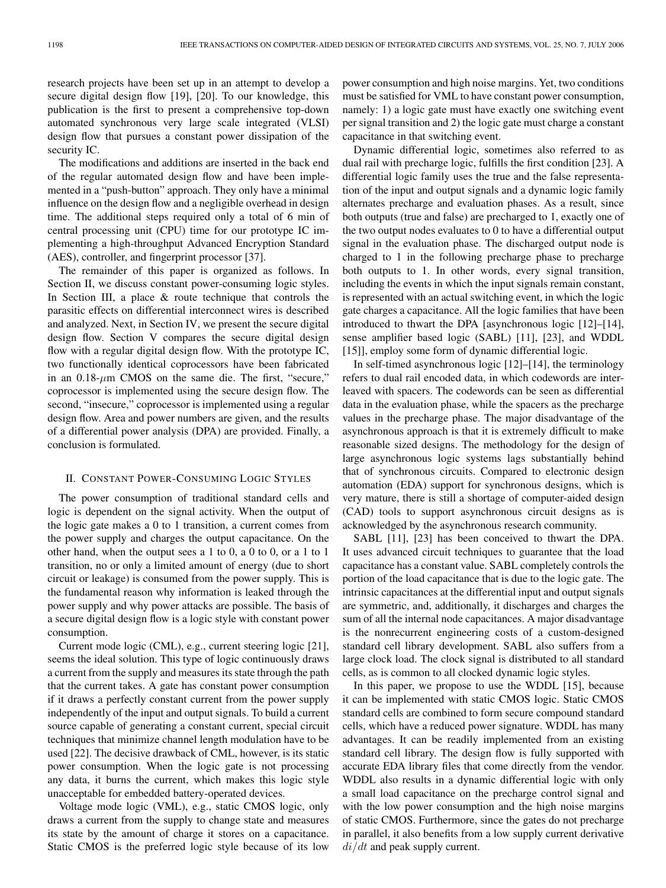research projects have been set up in an attempt to develop a secure digital design flow [19], [20]. To our knowledge, this publication is the first to present a comprehensive top-down automated synchronous very large scale integrated (VLSI) design flow that pursues a constant power dissipation of the security IC.

The modifications and additions are inserted in the back end of the regular automated design flow and have been implemented in a "push-button" approach. They only have a minimal influence on the design flow and a negligible overhead in design time. The additional steps required only a total of 6 min of central processing unit (CPU) time for our prototype IC implementing a high-throughput Advanced Encryption Standard (AES), controller, and fingerprint processor [37].

The remainder of this paper is organized as follows. In Section II, we discuss constant power-consuming logic styles. In Section III, a place  $\&$  route technique that controls the parasitic effects on differential interconnect wires is described and analyzed. Next, in Section IV, we present the secure digital design flow. Section V compares the secure digital design flow with a regular digital design flow. With the prototype IC, two functionally identical coprocessors have been fabricated in an  $0.18 - \mu m$  CMOS on the same die. The first, "secure," coprocessor is implemented using the secure design flow. The second, "insecure," coprocessor is implemented using a regular design flow. Area and power numbers are given, and the results of a differential power analysis (DPA) are provided. Finally, a conclusion is formulated.

#### II. CONSTANT POWER-CONSUMING LOGIC STYLES

The power consumption of traditional standard cells and logic is dependent on the signal activity. When the output of the logic gate makes a 0 to 1 transition, a current comes from the power supply and charges the output capacitance. On the other hand, when the output sees a 1 to 0, a 0 to 0, or a 1 to 1 transition, no or only a limited amount of energy (due to short circuit or leakage) is consumed from the power supply. This is the fundamental reason why information is leaked through the power supply and why power attacks are possible. The basis of a secure digital design flow is a logic style with constant power consumption.

Current mode logic (CML), e.g., current steering logic [21], seems the ideal solution. This type of logic continuously draws a current from the supply and measures its state through the path that the current takes. A gate has constant power consumption if it draws a perfectly constant current from the power supply independently of the input and output signals. To build a current source capable of generating a constant current, special circuit techniques that minimize channel length modulation have to be used [22]. The decisive drawback of CML, however, is its static power consumption. When the logic gate is not processing any data, it burns the current, which makes this logic style unacceptable for embedded battery-operated devices.

Voltage mode logic (VML), e.g., static CMOS logic, only draws a current from the supply to change state and measures its state by the amount of charge it stores on a capacitance. Static CMOS is the preferred logic style because of its low power consumption and high noise margins. Yet, two conditions must be satisfied for VML to have constant power consumption, namely: 1) a logic gate must have exactly one switching event per signal transition and 2) the logic gate must charge a constant capacitance in that switching event.

Dynamic differential logic, sometimes also referred to as dual rail with precharge logic, fulfills the first condition [23]. A differential logic family uses the true and the false representation of the input and output signals and a dynamic logic family alternates precharge and evaluation phases. As a result, since both outputs (true and false) are precharged to 1, exactly one of the two output nodes evaluates to 0 to have a differential output signal in the evaluation phase. The discharged output node is charged to 1 in the following precharge phase to precharge both outputs to 1. In other words, every signal transition, including the events in which the input signals remain constant, is represented with an actual switching event, in which the logic gate charges a capacitance. All the logic families that have been introduced to thwart the DPA [asynchronous logic [12]–[14], sense amplifier based logic (SABL) [11], [23], and WDDL [15]], employ some form of dynamic differential logic.

In self-timed asynchronous logic [12]–[14], the terminology refers to dual rail encoded data, in which codewords are interleaved with spacers. The codewords can be seen as differential data in the evaluation phase, while the spacers as the precharge values in the precharge phase. The major disadvantage of the asynchronous approach is that it is extremely difficult to make reasonable sized designs. The methodology for the design of large asynchronous logic systems lags substantially behind that of synchronous circuits. Compared to electronic design automation (EDA) support for synchronous designs, which is very mature, there is still a shortage of computer-aided design (CAD) tools to support asynchronous circuit designs as is acknowledged by the asynchronous research community.

SABL [11], [23] has been conceived to thwart the DPA. It uses advanced circuit techniques to guarantee that the load capacitance has a constant value. SABL completely controls the portion of the load capacitance that is due to the logic gate. The intrinsic capacitances at the differential input and output signals are symmetric, and, additionally, it discharges and charges the sum of all the internal node capacitances. A major disadvantage is the nonrecurrent engineering costs of a custom-designed standard cell library development. SABL also suffers from a large clock load. The clock signal is distributed to all standard cells, as is common to all clocked dynamic logic styles.

In this paper, we propose to use the WDDL [15], because it can be implemented with static CMOS logic. Static CMOS standard cells are combined to form secure compound standard cells, which have a reduced power signature. WDDL has many advantages. It can be readily implemented from an existing standard cell library. The design flow is fully supported with accurate EDA library files that come directly from the vendor. WDDL also results in a dynamic differential logic with only a small load capacitance on the precharge control signal and with the low power consumption and the high noise margins of static CMOS. Furthermore, since the gates do not precharge in parallel, it also benefits from a low supply current derivative *di/dt* and peak supply current.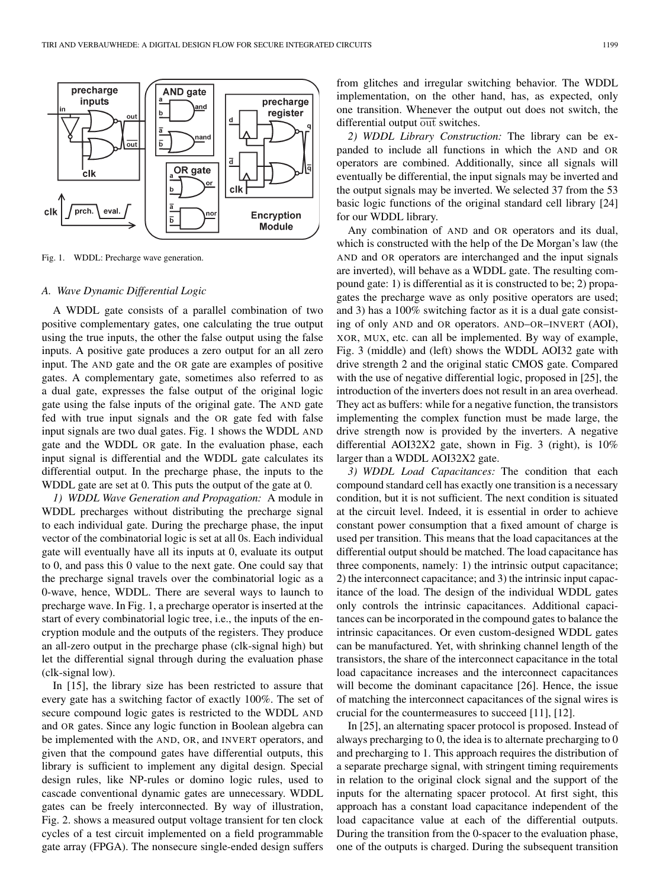

Fig. 1. WDDL: Precharge wave generation.

# *A. Wave Dynamic Differential Logic*

A WDDL gate consists of a parallel combination of two positive complementary gates, one calculating the true output using the true inputs, the other the false output using the false inputs. A positive gate produces a zero output for an all zero input. The AND gate and the OR gate are examples of positive gates. A complementary gate, sometimes also referred to as a dual gate, expresses the false output of the original logic gate using the false inputs of the original gate. The AND gate fed with true input signals and the OR gate fed with false input signals are two dual gates. Fig. 1 shows the WDDL AND gate and the WDDL OR gate. In the evaluation phase, each input signal is differential and the WDDL gate calculates its differential output. In the precharge phase, the inputs to the WDDL gate are set at 0. This puts the output of the gate at 0.

*1) WDDL Wave Generation and Propagation:* A module in WDDL precharges without distributing the precharge signal to each individual gate. During the precharge phase, the input vector of the combinatorial logic is set at all 0s. Each individual gate will eventually have all its inputs at 0, evaluate its output to 0, and pass this 0 value to the next gate. One could say that the precharge signal travels over the combinatorial logic as a 0-wave, hence, WDDL. There are several ways to launch to precharge wave. In Fig. 1, a precharge operator is inserted at the start of every combinatorial logic tree, i.e., the inputs of the encryption module and the outputs of the registers. They produce an all-zero output in the precharge phase (clk-signal high) but let the differential signal through during the evaluation phase (clk-signal low).

In [15], the library size has been restricted to assure that every gate has a switching factor of exactly 100%. The set of secure compound logic gates is restricted to the WDDL AND and OR gates. Since any logic function in Boolean algebra can be implemented with the AND, OR, and INVERT operators, and given that the compound gates have differential outputs, this library is sufficient to implement any digital design. Special design rules, like NP-rules or domino logic rules, used to cascade conventional dynamic gates are unnecessary. WDDL gates can be freely interconnected. By way of illustration, Fig. 2. shows a measured output voltage transient for ten clock cycles of a test circuit implemented on a field programmable gate array (FPGA). The nonsecure single-ended design suffers

from glitches and irregular switching behavior. The WDDL implementation, on the other hand, has, as expected, only one transition. Whenever the output out does not switch, the differential output  $\overline{out}$  switches.

*2) WDDL Library Construction:* The library can be expanded to include all functions in which the AND and OR operators are combined. Additionally, since all signals will eventually be differential, the input signals may be inverted and the output signals may be inverted. We selected 37 from the 53 basic logic functions of the original standard cell library [24] for our WDDL library.

Any combination of AND and OR operators and its dual, which is constructed with the help of the De Morgan's law (the AND and OR operators are interchanged and the input signals are inverted), will behave as a WDDL gate. The resulting compound gate: 1) is differential as it is constructed to be; 2) propagates the precharge wave as only positive operators are used; and 3) has a 100% switching factor as it is a dual gate consisting of only AND and OR operators. AND–OR–INVERT (AOI), XOR, MUX, etc. can all be implemented. By way of example, Fig. 3 (middle) and (left) shows the WDDL AOI32 gate with drive strength 2 and the original static CMOS gate. Compared with the use of negative differential logic, proposed in [25], the introduction of the inverters does not result in an area overhead. They act as buffers: while for a negative function, the transistors implementing the complex function must be made large, the drive strength now is provided by the inverters. A negative differential AOI32X2 gate, shown in Fig. 3 (right), is 10% larger than a WDDL AOI32X2 gate.

*3) WDDL Load Capacitances:* The condition that each compound standard cell has exactly one transition is a necessary condition, but it is not sufficient. The next condition is situated at the circuit level. Indeed, it is essential in order to achieve constant power consumption that a fixed amount of charge is used per transition. This means that the load capacitances at the differential output should be matched. The load capacitance has three components, namely: 1) the intrinsic output capacitance; 2) the interconnect capacitance; and 3) the intrinsic input capacitance of the load. The design of the individual WDDL gates only controls the intrinsic capacitances. Additional capacitances can be incorporated in the compound gates to balance the intrinsic capacitances. Or even custom-designed WDDL gates can be manufactured. Yet, with shrinking channel length of the transistors, the share of the interconnect capacitance in the total load capacitance increases and the interconnect capacitances will become the dominant capacitance [26]. Hence, the issue of matching the interconnect capacitances of the signal wires is crucial for the countermeasures to succeed [11], [12].

In [25], an alternating spacer protocol is proposed. Instead of always precharging to 0, the idea is to alternate precharging to 0 and precharging to 1. This approach requires the distribution of a separate precharge signal, with stringent timing requirements in relation to the original clock signal and the support of the inputs for the alternating spacer protocol. At first sight, this approach has a constant load capacitance independent of the load capacitance value at each of the differential outputs. During the transition from the 0-spacer to the evaluation phase, one of the outputs is charged. During the subsequent transition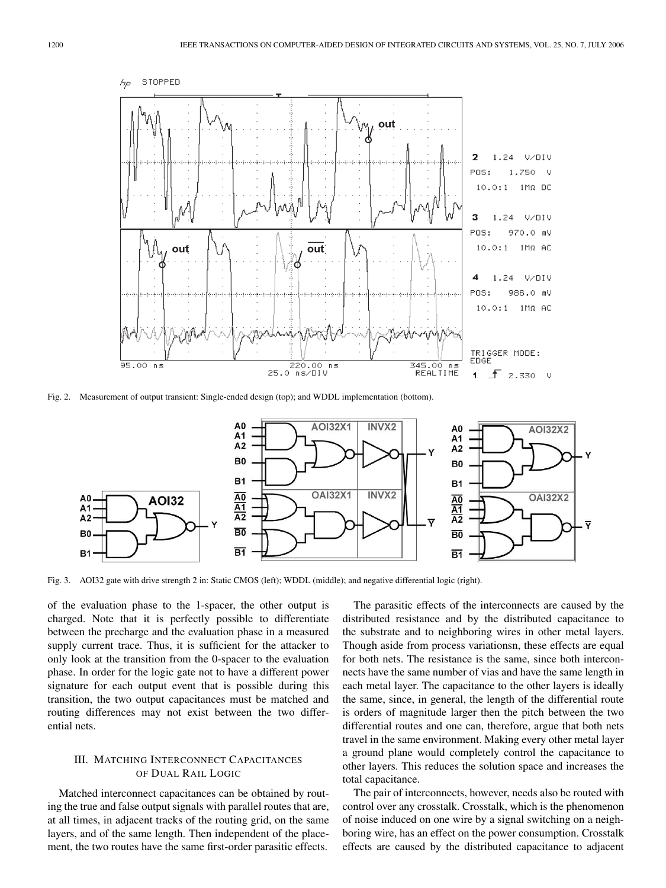

Fig. 2. Measurement of output transient: Single-ended design (top); and WDDL implementation (bottom).



Fig. 3. AOI32 gate with drive strength 2 in: Static CMOS (left); WDDL (middle); and negative differential logic (right).

of the evaluation phase to the 1-spacer, the other output is charged. Note that it is perfectly possible to differentiate between the precharge and the evaluation phase in a measured supply current trace. Thus, it is sufficient for the attacker to only look at the transition from the 0-spacer to the evaluation phase. In order for the logic gate not to have a different power signature for each output event that is possible during this transition, the two output capacitances must be matched and routing differences may not exist between the two differential nets.

# III. MATCHING INTERCONNECT CAPACITANCES OF DUAL RAIL LOGIC

Matched interconnect capacitances can be obtained by routing the true and false output signals with parallel routes that are, at all times, in adjacent tracks of the routing grid, on the same layers, and of the same length. Then independent of the placement, the two routes have the same first-order parasitic effects.

The parasitic effects of the interconnects are caused by the distributed resistance and by the distributed capacitance to the substrate and to neighboring wires in other metal layers. Though aside from process variationsn, these effects are equal for both nets. The resistance is the same, since both interconnects have the same number of vias and have the same length in each metal layer. The capacitance to the other layers is ideally the same, since, in general, the length of the differential route is orders of magnitude larger then the pitch between the two differential routes and one can, therefore, argue that both nets travel in the same environment. Making every other metal layer a ground plane would completely control the capacitance to other layers. This reduces the solution space and increases the total capacitance.

The pair of interconnects, however, needs also be routed with control over any crosstalk. Crosstalk, which is the phenomenon of noise induced on one wire by a signal switching on a neighboring wire, has an effect on the power consumption. Crosstalk effects are caused by the distributed capacitance to adjacent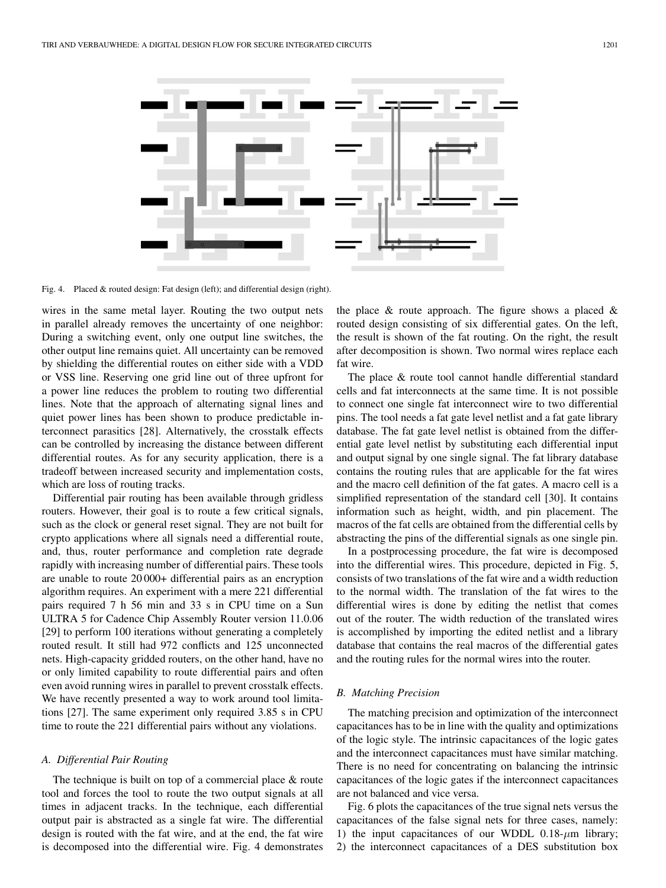

Fig. 4. Placed & routed design: Fat design (left); and differential design (right).

wires in the same metal layer. Routing the two output nets in parallel already removes the uncertainty of one neighbor: During a switching event, only one output line switches, the other output line remains quiet. All uncertainty can be removed by shielding the differential routes on either side with a VDD or VSS line. Reserving one grid line out of three upfront for a power line reduces the problem to routing two differential lines. Note that the approach of alternating signal lines and quiet power lines has been shown to produce predictable interconnect parasitics [28]. Alternatively, the crosstalk effects can be controlled by increasing the distance between different differential routes. As for any security application, there is a tradeoff between increased security and implementation costs, which are loss of routing tracks.

Differential pair routing has been available through gridless routers. However, their goal is to route a few critical signals, such as the clock or general reset signal. They are not built for crypto applications where all signals need a differential route, and, thus, router performance and completion rate degrade rapidly with increasing number of differential pairs. These tools are unable to route 20 000+ differential pairs as an encryption algorithm requires. An experiment with a mere 221 differential pairs required 7 h 56 min and 33 s in CPU time on a Sun ULTRA 5 for Cadence Chip Assembly Router version 11.0.06 [29] to perform 100 iterations without generating a completely routed result. It still had 972 conflicts and 125 unconnected nets. High-capacity gridded routers, on the other hand, have no or only limited capability to route differential pairs and often even avoid running wires in parallel to prevent crosstalk effects. We have recently presented a way to work around tool limitations [27]. The same experiment only required 3.85 s in CPU time to route the 221 differential pairs without any violations.

### *A. Differential Pair Routing*

The technique is built on top of a commercial place & route tool and forces the tool to route the two output signals at all times in adjacent tracks. In the technique, each differential output pair is abstracted as a single fat wire. The differential design is routed with the fat wire, and at the end, the fat wire is decomposed into the differential wire. Fig. 4 demonstrates the place  $\&$  route approach. The figure shows a placed  $\&$ routed design consisting of six differential gates. On the left, the result is shown of the fat routing. On the right, the result after decomposition is shown. Two normal wires replace each fat wire.

The place & route tool cannot handle differential standard cells and fat interconnects at the same time. It is not possible to connect one single fat interconnect wire to two differential pins. The tool needs a fat gate level netlist and a fat gate library database. The fat gate level netlist is obtained from the differential gate level netlist by substituting each differential input and output signal by one single signal. The fat library database contains the routing rules that are applicable for the fat wires and the macro cell definition of the fat gates. A macro cell is a simplified representation of the standard cell [30]. It contains information such as height, width, and pin placement. The macros of the fat cells are obtained from the differential cells by abstracting the pins of the differential signals as one single pin.

In a postprocessing procedure, the fat wire is decomposed into the differential wires. This procedure, depicted in Fig. 5, consists of two translations of the fat wire and a width reduction to the normal width. The translation of the fat wires to the differential wires is done by editing the netlist that comes out of the router. The width reduction of the translated wires is accomplished by importing the edited netlist and a library database that contains the real macros of the differential gates and the routing rules for the normal wires into the router.

# *B. Matching Precision*

The matching precision and optimization of the interconnect capacitances has to be in line with the quality and optimizations of the logic style. The intrinsic capacitances of the logic gates and the interconnect capacitances must have similar matching. There is no need for concentrating on balancing the intrinsic capacitances of the logic gates if the interconnect capacitances are not balanced and vice versa.

Fig. 6 plots the capacitances of the true signal nets versus the capacitances of the false signal nets for three cases, namely: 1) the input capacitances of our WDDL  $0.18-\mu m$  library; 2) the interconnect capacitances of a DES substitution box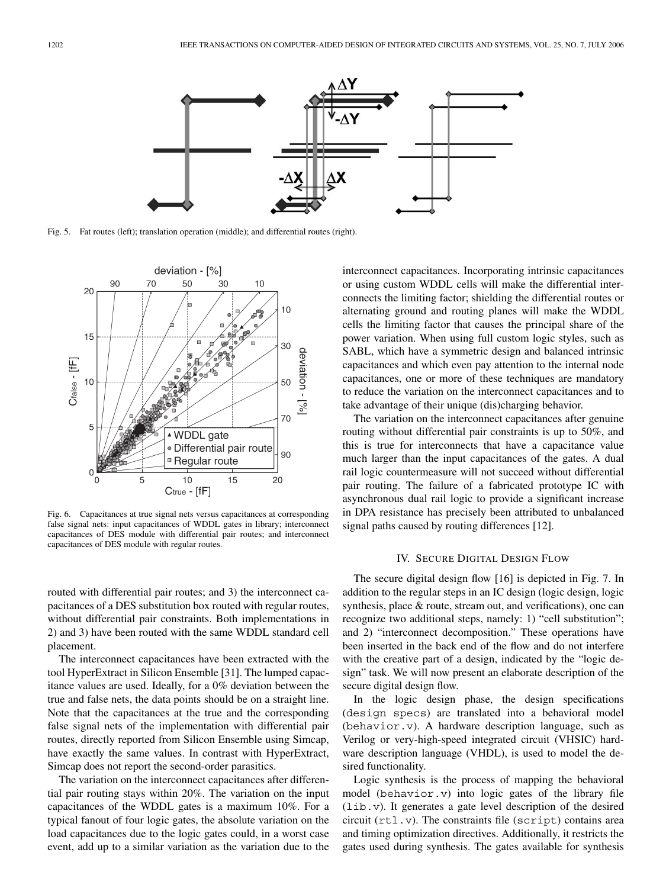

Fig. 5. Fat routes (left); translation operation (middle); and differential routes (right).



Fig. 6. Capacitances at true signal nets versus capacitances at corresponding false signal nets: input capacitances of WDDL gates in library; interconnect capacitances of DES module with differential pair routes; and interconnect capacitances of DES module with regular routes.

routed with differential pair routes; and 3) the interconnect capacitances of a DES substitution box routed with regular routes, without differential pair constraints. Both implementations in 2) and 3) have been routed with the same WDDL standard cell placement.

The interconnect capacitances have been extracted with the tool HyperExtract in Silicon Ensemble [31]. The lumped capacitance values are used. Ideally, for a 0% deviation between the true and false nets, the data points should be on a straight line. Note that the capacitances at the true and the corresponding false signal nets of the implementation with differential pair routes, directly reported from Silicon Ensemble using Simcap, have exactly the same values. In contrast with HyperExtract, Simcap does not report the second-order parasitics.

The variation on the interconnect capacitances after differential pair routing stays within 20%. The variation on the input capacitances of the WDDL gates is a maximum 10%. For a typical fanout of four logic gates, the absolute variation on the load capacitances due to the logic gates could, in a worst case event, add up to a similar variation as the variation due to the interconnect capacitances. Incorporating intrinsic capacitances or using custom WDDL cells will make the differential interconnects the limiting factor; shielding the differential routes or alternating ground and routing planes will make the WDDL cells the limiting factor that causes the principal share of the power variation. When using full custom logic styles, such as SABL, which have a symmetric design and balanced intrinsic capacitances and which even pay attention to the internal node capacitances, one or more of these techniques are mandatory to reduce the variation on the interconnect capacitances and to take advantage of their unique (dis)charging behavior.

The variation on the interconnect capacitances after genuine routing without differential pair constraints is up to 50%, and this is true for interconnects that have a capacitance value much larger than the input capacitances of the gates. A dual rail logic countermeasure will not succeed without differential pair routing. The failure of a fabricated prototype IC with asynchronous dual rail logic to provide a significant increase in DPA resistance has precisely been attributed to unbalanced signal paths caused by routing differences [12].

# IV. SECURE DIGITAL DESIGN FLOW

The secure digital design flow [16] is depicted in Fig. 7. In addition to the regular steps in an IC design (logic design, logic synthesis, place & route, stream out, and verifications), one can recognize two additional steps, namely: 1) "cell substitution"; and 2) "interconnect decomposition." These operations have been inserted in the back end of the flow and do not interfere with the creative part of a design, indicated by the "logic design" task. We will now present an elaborate description of the secure digital design flow.

In the logic design phase, the design specifications (design specs) are translated into a behavioral model (behavior.v). A hardware description language, such as Verilog or very-high-speed integrated circuit (VHSIC) hardware description language (VHDL), is used to model the desired functionality.

Logic synthesis is the process of mapping the behavioral model (behavior.v) into logic gates of the library file (lib.v). It generates a gate level description of the desired circuit (rtl.v). The constraints file (script) contains area and timing optimization directives. Additionally, it restricts the gates used during synthesis. The gates available for synthesis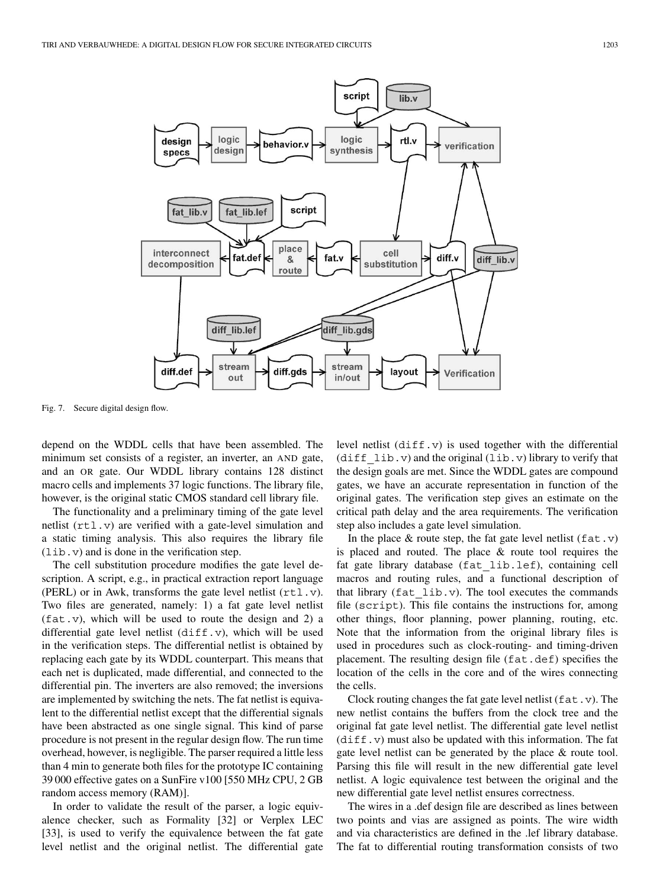

Fig. 7. Secure digital design flow.

depend on the WDDL cells that have been assembled. The minimum set consists of a register, an inverter, an AND gate, and an OR gate. Our WDDL library contains 128 distinct macro cells and implements 37 logic functions. The library file, however, is the original static CMOS standard cell library file.

The functionality and a preliminary timing of the gate level netlist (rtl.v) are verified with a gate-level simulation and a static timing analysis. This also requires the library file  $(lib.v)$  and is done in the verification step.

The cell substitution procedure modifies the gate level description. A script, e.g., in practical extraction report language (PERL) or in Awk, transforms the gate level netlist  $(rtl.v)$ . Two files are generated, namely: 1) a fat gate level netlist  $(fat.v)$ , which will be used to route the design and 2) a differential gate level netlist  $(diff.v)$ , which will be used in the verification steps. The differential netlist is obtained by replacing each gate by its WDDL counterpart. This means that each net is duplicated, made differential, and connected to the differential pin. The inverters are also removed; the inversions are implemented by switching the nets. The fat netlist is equivalent to the differential netlist except that the differential signals have been abstracted as one single signal. This kind of parse procedure is not present in the regular design flow. The run time overhead, however, is negligible. The parser required a little less than 4 min to generate both files for the prototype IC containing 39 000 effective gates on a SunFire v100 [550 MHz CPU, 2 GB random access memory (RAM)].

In order to validate the result of the parser, a logic equivalence checker, such as Formality [32] or Verplex LEC [33], is used to verify the equivalence between the fat gate level netlist and the original netlist. The differential gate

level netlist  $(\text{diff.v})$  is used together with the differential (diff  $lib.v$ ) and the original (lib.v) library to verify that the design goals are met. Since the WDDL gates are compound gates, we have an accurate representation in function of the original gates. The verification step gives an estimate on the critical path delay and the area requirements. The verification step also includes a gate level simulation.

In the place  $\&$  route step, the fat gate level netlist ( $f$ at.v) is placed and routed. The place & route tool requires the fat gate library database (fat\_lib.lef), containing cell macros and routing rules, and a functional description of that library  $(fat$  lib.v). The tool executes the commands file (script). This file contains the instructions for, among other things, floor planning, power planning, routing, etc. Note that the information from the original library files is used in procedures such as clock-routing- and timing-driven placement. The resulting design file (fat.def) specifies the location of the cells in the core and of the wires connecting the cells.

Clock routing changes the fat gate level netlist  $(fat.v)$ . The new netlist contains the buffers from the clock tree and the original fat gate level netlist. The differential gate level netlist  $(diff.v)$  must also be updated with this information. The fat gate level netlist can be generated by the place & route tool. Parsing this file will result in the new differential gate level netlist. A logic equivalence test between the original and the new differential gate level netlist ensures correctness.

The wires in a .def design file are described as lines between two points and vias are assigned as points. The wire width and via characteristics are defined in the .lef library database. The fat to differential routing transformation consists of two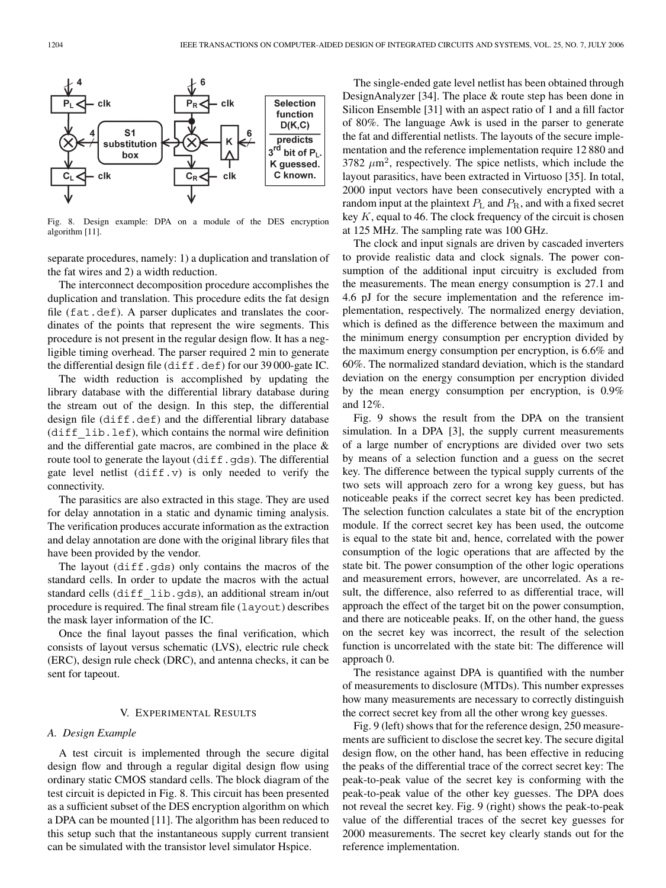

Fig. 8. Design example: DPA on a module of the DES encryption algorithm [11].

separate procedures, namely: 1) a duplication and translation of the fat wires and 2) a width reduction.

The interconnect decomposition procedure accomplishes the duplication and translation. This procedure edits the fat design file (fat.def). A parser duplicates and translates the coordinates of the points that represent the wire segments. This procedure is not present in the regular design flow. It has a negligible timing overhead. The parser required 2 min to generate the differential design file (diff.def) for our 39 000-gate IC.

The width reduction is accomplished by updating the library database with the differential library database during the stream out of the design. In this step, the differential design file (diff.def) and the differential library database (diff lib.lef), which contains the normal wire definition and the differential gate macros, are combined in the place & route tool to generate the layout (diff.gds). The differential gate level netlist  $(diff.v)$  is only needed to verify the connectivity.

The parasitics are also extracted in this stage. They are used for delay annotation in a static and dynamic timing analysis. The verification produces accurate information as the extraction and delay annotation are done with the original library files that have been provided by the vendor.

The layout (diff.gds) only contains the macros of the standard cells. In order to update the macros with the actual standard cells (diff lib.gds), an additional stream in/out procedure is required. The final stream file (layout) describes the mask layer information of the IC.

Once the final layout passes the final verification, which consists of layout versus schematic (LVS), electric rule check (ERC), design rule check (DRC), and antenna checks, it can be sent for tapeout.

#### V. EXPERIMENTAL RESULTS

### *A. Design Example*

A test circuit is implemented through the secure digital design flow and through a regular digital design flow using ordinary static CMOS standard cells. The block diagram of the test circuit is depicted in Fig. 8. This circuit has been presented as a sufficient subset of the DES encryption algorithm on which a DPA can be mounted [11]. The algorithm has been reduced to this setup such that the instantaneous supply current transient can be simulated with the transistor level simulator Hspice.

The single-ended gate level netlist has been obtained through DesignAnalyzer [34]. The place & route step has been done in Silicon Ensemble [31] with an aspect ratio of 1 and a fill factor of 80%. The language Awk is used in the parser to generate the fat and differential netlists. The layouts of the secure implementation and the reference implementation require 12 880 and  $3782 \mu m^2$ , respectively. The spice netlists, which include the layout parasitics, have been extracted in Virtuoso [35]. In total, 2000 input vectors have been consecutively encrypted with a random input at the plaintext  $P_L$  and  $P_R$ , and with a fixed secret key *K*, equal to 46. The clock frequency of the circuit is chosen at 125 MHz. The sampling rate was 100 GHz.

The clock and input signals are driven by cascaded inverters to provide realistic data and clock signals. The power consumption of the additional input circuitry is excluded from the measurements. The mean energy consumption is 27.1 and 4.6 pJ for the secure implementation and the reference implementation, respectively. The normalized energy deviation, which is defined as the difference between the maximum and the minimum energy consumption per encryption divided by the maximum energy consumption per encryption, is 6.6% and 60%. The normalized standard deviation, which is the standard deviation on the energy consumption per encryption divided by the mean energy consumption per encryption, is 0.9% and 12%.

Fig. 9 shows the result from the DPA on the transient simulation. In a DPA [3], the supply current measurements of a large number of encryptions are divided over two sets by means of a selection function and a guess on the secret key. The difference between the typical supply currents of the two sets will approach zero for a wrong key guess, but has noticeable peaks if the correct secret key has been predicted. The selection function calculates a state bit of the encryption module. If the correct secret key has been used, the outcome is equal to the state bit and, hence, correlated with the power consumption of the logic operations that are affected by the state bit. The power consumption of the other logic operations and measurement errors, however, are uncorrelated. As a result, the difference, also referred to as differential trace, will approach the effect of the target bit on the power consumption, and there are noticeable peaks. If, on the other hand, the guess on the secret key was incorrect, the result of the selection function is uncorrelated with the state bit: The difference will approach 0.

The resistance against DPA is quantified with the number of measurements to disclosure (MTDs). This number expresses how many measurements are necessary to correctly distinguish the correct secret key from all the other wrong key guesses.

Fig. 9 (left) shows that for the reference design, 250 measurements are sufficient to disclose the secret key. The secure digital design flow, on the other hand, has been effective in reducing the peaks of the differential trace of the correct secret key: The peak-to-peak value of the secret key is conforming with the peak-to-peak value of the other key guesses. The DPA does not reveal the secret key. Fig. 9 (right) shows the peak-to-peak value of the differential traces of the secret key guesses for 2000 measurements. The secret key clearly stands out for the reference implementation.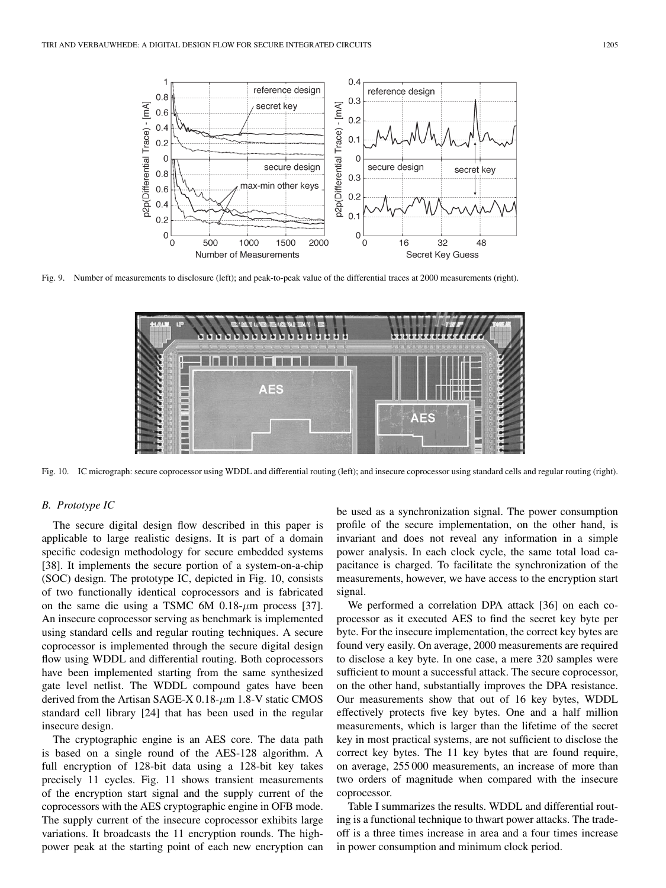

Fig. 9. Number of measurements to disclosure (left); and peak-to-peak value of the differential traces at 2000 measurements (right).



Fig. 10. IC micrograph: secure coprocessor using WDDL and differential routing (left); and insecure coprocessor using standard cells and regular routing (right).

# *B. Prototype IC*

The secure digital design flow described in this paper is applicable to large realistic designs. It is part of a domain specific codesign methodology for secure embedded systems [38]. It implements the secure portion of a system-on-a-chip (SOC) design. The prototype IC, depicted in Fig. 10, consists of two functionally identical coprocessors and is fabricated on the same die using a TSMC 6M 0.18-*µ*m process [37]. An insecure coprocessor serving as benchmark is implemented using standard cells and regular routing techniques. A secure coprocessor is implemented through the secure digital design flow using WDDL and differential routing. Both coprocessors have been implemented starting from the same synthesized gate level netlist. The WDDL compound gates have been derived from the Artisan SAGE-X 0.18-*µ*m 1.8-V static CMOS standard cell library [24] that has been used in the regular insecure design.

The cryptographic engine is an AES core. The data path is based on a single round of the AES-128 algorithm. A full encryption of 128-bit data using a 128-bit key takes precisely 11 cycles. Fig. 11 shows transient measurements of the encryption start signal and the supply current of the coprocessors with the AES cryptographic engine in OFB mode. The supply current of the insecure coprocessor exhibits large variations. It broadcasts the 11 encryption rounds. The highpower peak at the starting point of each new encryption can

be used as a synchronization signal. The power consumption profile of the secure implementation, on the other hand, is invariant and does not reveal any information in a simple power analysis. In each clock cycle, the same total load capacitance is charged. To facilitate the synchronization of the measurements, however, we have access to the encryption start signal.

We performed a correlation DPA attack [36] on each coprocessor as it executed AES to find the secret key byte per byte. For the insecure implementation, the correct key bytes are found very easily. On average, 2000 measurements are required to disclose a key byte. In one case, a mere 320 samples were sufficient to mount a successful attack. The secure coprocessor, on the other hand, substantially improves the DPA resistance. Our measurements show that out of 16 key bytes, WDDL effectively protects five key bytes. One and a half million measurements, which is larger than the lifetime of the secret key in most practical systems, are not sufficient to disclose the correct key bytes. The 11 key bytes that are found require, on average, 255 000 measurements, an increase of more than two orders of magnitude when compared with the insecure coprocessor.

Table I summarizes the results. WDDL and differential routing is a functional technique to thwart power attacks. The tradeoff is a three times increase in area and a four times increase in power consumption and minimum clock period.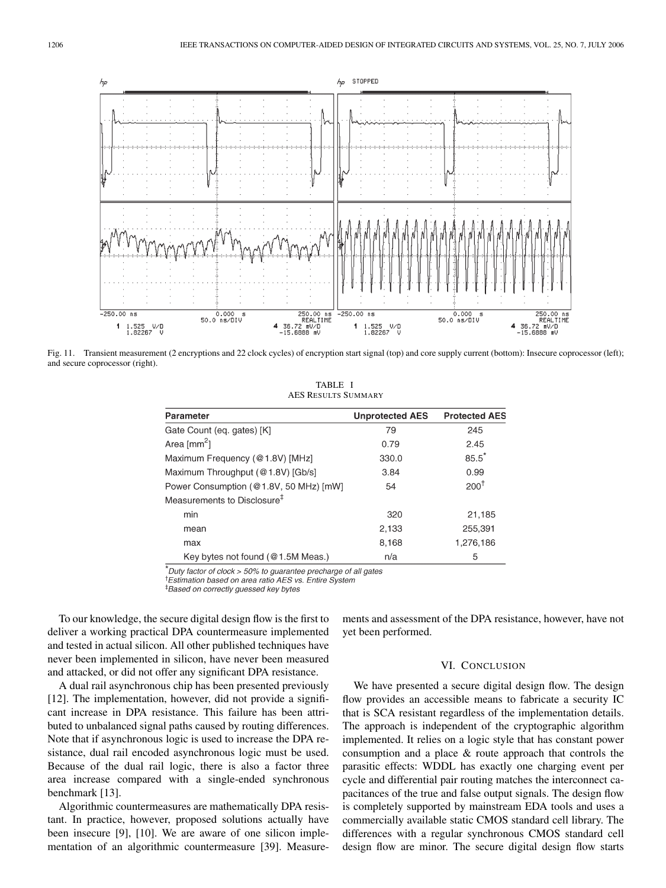

Fig. 11. Transient measurement (2 encryptions and 22 clock cycles) of encryption start signal (top) and core supply current (bottom): Insecure coprocessor (left); and secure coprocessor (right).

| TABLE I             |  |  |
|---------------------|--|--|
| AES RESULTS SUMMARY |  |  |

| Parameter                               | <b>Unprotected AES</b> | <b>Protected AES</b> |
|-----------------------------------------|------------------------|----------------------|
| Gate Count (eq. gates) [K]              | 79                     | 245                  |
| Area $\text{[mm}^2$ ]                   | 0.79                   | 2.45                 |
| Maximum Frequency (@1.8V) [MHz]         | 330.0                  | $85.5^*$             |
| Maximum Throughput (@1.8V) [Gb/s]       | 3.84                   | 0.99                 |
| Power Consumption (@1.8V, 50 MHz) [mW]  | 54                     | 200 <sup>†</sup>     |
| Measurements to Disclosure <sup>#</sup> |                        |                      |
| min                                     | 320                    | 21,185               |
| mean                                    | 2,133                  | 255,391              |
| max                                     | 8,168                  | 1,276,186            |
| Key bytes not found ( $@1.5M$ Meas.)    | n/a                    | 5                    |

\*Duty factor of clock > 50% to guarantee precharge of all gates

\*Estimation based on area ratio AES vs. Entire System

#Based on correctly guessed key bytes

To our knowledge, the secure digital design flow is the first to deliver a working practical DPA countermeasure implemented and tested in actual silicon. All other published techniques have never been implemented in silicon, have never been measured and attacked, or did not offer any significant DPA resistance.

A dual rail asynchronous chip has been presented previously [12]. The implementation, however, did not provide a significant increase in DPA resistance. This failure has been attributed to unbalanced signal paths caused by routing differences. Note that if asynchronous logic is used to increase the DPA resistance, dual rail encoded asynchronous logic must be used. Because of the dual rail logic, there is also a factor three area increase compared with a single-ended synchronous benchmark [13].

Algorithmic countermeasures are mathematically DPA resistant. In practice, however, proposed solutions actually have been insecure [9], [10]. We are aware of one silicon implementation of an algorithmic countermeasure [39]. Measurements and assessment of the DPA resistance, however, have not yet been performed.

# VI. CONCLUSION

We have presented a secure digital design flow. The design flow provides an accessible means to fabricate a security IC that is SCA resistant regardless of the implementation details. The approach is independent of the cryptographic algorithm implemented. It relies on a logic style that has constant power consumption and a place & route approach that controls the parasitic effects: WDDL has exactly one charging event per cycle and differential pair routing matches the interconnect capacitances of the true and false output signals. The design flow is completely supported by mainstream EDA tools and uses a commercially available static CMOS standard cell library. The differences with a regular synchronous CMOS standard cell design flow are minor. The secure digital design flow starts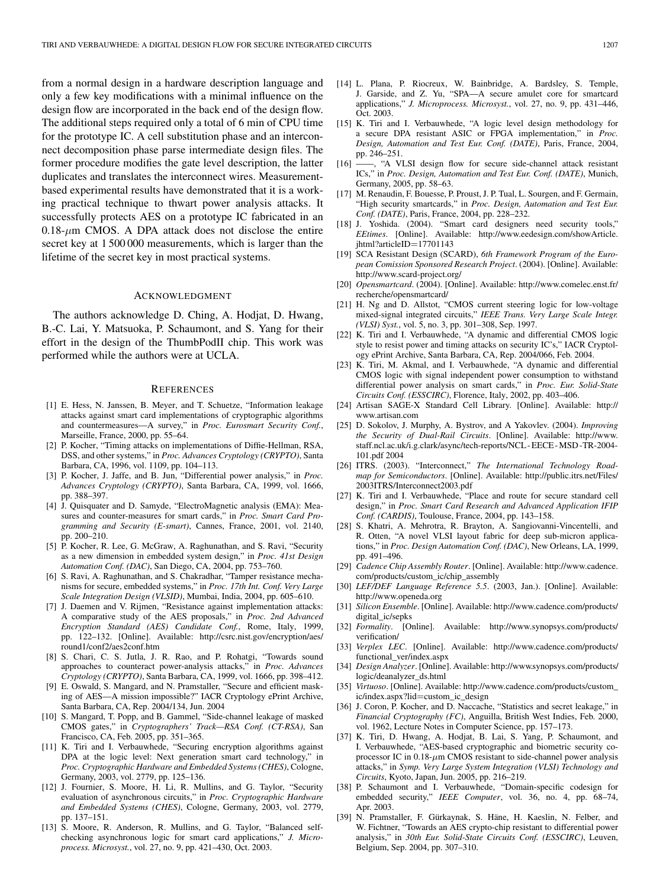from a normal design in a hardware description language and only a few key modifications with a minimal influence on the design flow are incorporated in the back end of the design flow. The additional steps required only a total of 6 min of CPU time for the prototype IC. A cell substitution phase and an interconnect decomposition phase parse intermediate design files. The former procedure modifies the gate level description, the latter duplicates and translates the interconnect wires. Measurementbased experimental results have demonstrated that it is a working practical technique to thwart power analysis attacks. It successfully protects AES on a prototype IC fabricated in an  $0.18 - \mu m$  CMOS. A DPA attack does not disclose the entire secret key at 1 500 000 measurements, which is larger than the lifetime of the secret key in most practical systems.

#### ACKNOWLEDGMENT

The authors acknowledge D. Ching, A. Hodjat, D. Hwang, B.-C. Lai, Y. Matsuoka, P. Schaumont, and S. Yang for their effort in the design of the ThumbPodII chip. This work was performed while the authors were at UCLA.

#### **REFERENCES**

- [1] E. Hess, N. Janssen, B. Meyer, and T. Schuetze, "Information leakage attacks against smart card implementations of cryptographic algorithms and countermeasures—A survey," in *Proc. Eurosmart Security Conf.*, Marseille, France, 2000, pp. 55–64.
- [2] P. Kocher, "Timing attacks on implementations of Diffie-Hellman, RSA, DSS, and other systems," in *Proc. Advances Cryptology (CRYPTO)*, Santa Barbara, CA, 1996, vol. 1109, pp. 104–113.
- [3] P. Kocher, J. Jaffe, and B. Jun, "Differential power analysis," in *Proc. Advances Cryptology (CRYPTO)*, Santa Barbara, CA, 1999, vol. 1666, pp. 388–397.
- [4] J. Quisquater and D. Samyde, "ElectroMagnetic analysis (EMA): Measures and counter-measures for smart cards," in *Proc. Smart Card Programming and Security (E-smart)*, Cannes, France, 2001, vol. 2140, pp. 200–210.
- [5] P. Kocher, R. Lee, G. McGraw, A. Raghunathan, and S. Ravi, "Security as a new dimension in embedded system design," in *Proc. 41st Design Automation Conf. (DAC)*, San Diego, CA, 2004, pp. 753–760.
- [6] S. Ravi, A. Raghunathan, and S. Chakradhar, "Tamper resistance mechanisms for secure, embedded systems," in *Proc. 17th Int. Conf. Very Large Scale Integration Design (VLSID)*, Mumbai, India, 2004, pp. 605–610.
- [7] J. Daemen and V. Rijmen, "Resistance against implementation attacks: A comparative study of the AES proposals," in *Proc. 2nd Advanced Encryption Standard (AES) Candidate Conf.*, Rome, Italy, 1999, pp. 122–132. [Online]. Available: http://csrc.nist.gov/encryption/aes/ round1/conf2/aes2conf.htm
- [8] S. Chari, C. S. Jutla, J. R. Rao, and P. Rohatgi, "Towards sound approaches to counteract power-analysis attacks," in *Proc. Advances Cryptology (CRYPTO)*, Santa Barbara, CA, 1999, vol. 1666, pp. 398–412.
- [9] E. Oswald, S. Mangard, and N. Pramstaller, "Secure and efficient masking of AES—A mission impossible?" IACR Cryptology ePrint Archive, Santa Barbara, CA, Rep. 2004/134, Jun. 2004
- [10] S. Mangard, T. Popp, and B. Gammel, "Side-channel leakage of masked CMOS gates," in *Cryptographers' Track—RSA Conf. (CT-RSA)*, San Francisco, CA, Feb. 2005, pp. 351–365.
- [11] K. Tiri and I. Verbauwhede, "Securing encryption algorithms against DPA at the logic level: Next generation smart card technology," in *Proc. Cryptographic Hardware and Embedded Systems (CHES)*, Cologne, Germany, 2003, vol. 2779, pp. 125–136.
- [12] J. Fournier, S. Moore, H. Li, R. Mullins, and G. Taylor, "Security evaluation of asynchronous circuits," in *Proc. Cryptographic Hardware and Embedded Systems (CHES)*, Cologne, Germany, 2003, vol. 2779, pp. 137–151.
- [13] S. Moore, R. Anderson, R. Mullins, and G. Taylor, "Balanced selfchecking asynchronous logic for smart card applications," *J. Microprocess. Microsyst.*, vol. 27, no. 9, pp. 421–430, Oct. 2003.
- [14] L. Plana, P. Riocreux, W. Bainbridge, A. Bardsley, S. Temple, J. Garside, and Z. Yu, "SPA—A secure amulet core for smartcard applications," *J. Microprocess. Microsyst.*, vol. 27, no. 9, pp. 431–446, Oct. 2003.
- [15] K. Tiri and I. Verbauwhede, "A logic level design methodology for a secure DPA resistant ASIC or FPGA implementation," in *Proc. Design, Automation and Test Eur. Conf. (DATE)*, Paris, France, 2004, pp. 246–251.
- [16] ——, "A VLSI design flow for secure side-channel attack resistant ICs," in *Proc. Design, Automation and Test Eur. Conf. (DATE)*, Munich, Germany, 2005, pp. 58–63.
- [17] M. Renaudin, F. Bouesse, P. Proust, J. P. Tual, L. Sourgen, and F. Germain, "High security smartcards," in *Proc. Design, Automation and Test Eur. Conf. (DATE)*, Paris, France, 2004, pp. 228–232.
- [18] J. Yoshida. (2004). "Smart card designers need security tools," *EEtimes*. [Online]. Available: http://www.eedesign.com/showArticle. jhtml?articleID=17701143
- [19] SCA Resistant Design (SCARD), *6th Framework Program of the European Comission Sponsored Research Project*. (2004). [Online]. Available: http://www.scard-project.org/
- [20] *Opensmartcard*. (2004). [Online]. Available: http://www.comelec.enst.fr/ recherche/opensmartcard/
- [21] H. Ng and D. Allstot, "CMOS current steering logic for low-voltage mixed-signal integrated circuits," *IEEE Trans. Very Large Scale Integr. (VLSI) Syst.*, vol. 5, no. 3, pp. 301–308, Sep. 1997.
- [22] K. Tiri and I. Verbauwhede, "A dynamic and differential CMOS logic style to resist power and timing attacks on security IC's," IACR Cryptology ePrint Archive, Santa Barbara, CA, Rep. 2004/066, Feb. 2004.
- [23] K. Tiri, M. Akmal, and I. Verbauwhede, "A dynamic and differential CMOS logic with signal independent power consumption to withstand differential power analysis on smart cards," in *Proc. Eur. Solid-State Circuits Conf. (ESSCIRC)*, Florence, Italy, 2002, pp. 403–406.
- [24] Artisan SAGE-X Standard Cell Library. [Online]. Available: http:// www.artisan.com
- [25] D. Sokolov, J. Murphy, A. Bystrov, and A Yakovlev. (2004). *Improving the Security of Dual-Rail Circuits*. [Online]. Available: http://www. staff.ncl.ac.uk/i.g.clark/async/tech-reports/NCL - EECE - MSD -TR-2004- 101.pdf 2004
- [26] ITRS. (2003). "Interconnect," The International Technology Road*map for Semiconductors*. [Online]. Available: http://public.itrs.net/Files/ 2003ITRS/Interconnect2003.pdf
- [27] K. Tiri and I. Verbauwhede, "Place and route for secure standard cell design," in *Proc. Smart Card Research and Advanced Application IFIP Conf. (CARDIS)*, Toulouse, France, 2004, pp. 143–158.
- [28] S. Khatri, A. Mehrotra, R. Brayton, A. Sangiovanni-Vincentelli, and R. Otten, "A novel VLSI layout fabric for deep sub-micron applications," in *Proc. Design Automation Conf. (DAC)*, New Orleans, LA, 1999, pp. 491–496.
- [29] *Cadence Chip Assembly Router*. [Online]. Available: http://www.cadence. com/products/custom\_ic/chip\_assembly
- [30] *LEF/DEF Language Reference 5.5*. (2003, Jan.). [Online]. Available: http://www.openeda.org
- [31] *Silicon Ensemble*. [Online]. Available: http://www.cadence.com/products/ digital\_ic/sepks
- [32] *Formality*. [Online]. Available: http://www.synopsys.com/products/ verification/
- [33] *Verplex LEC*. [Online]. Available: http://www.cadence.com/products/ functional\_ver/index.aspx
- [34] *Design Analyzer*. [Online]. Available: http://www.synopsys.com/products/ logic/deanalyzer\_ds.html
- [35] *Virtuoso*. [Online]. Available: http://www.cadence.com/products/custom\_ ic/index.aspx?lid=custom\_ic\_design
- [36] J. Coron, P. Kocher, and D. Naccache, "Statistics and secret leakage," in *Financial Cryptography (FC)*, Anguilla, British West Indies, Feb. 2000, vol. 1962, Lecture Notes in Computer Science, pp. 157–173.
- [37] K. Tiri, D. Hwang, A. Hodjat, B. Lai, S. Yang, P. Schaumont, and I. Verbauwhede, "AES-based cryptographic and biometric security coprocessor IC in 0.18-*µ*m CMOS resistant to side-channel power analysis attacks," in *Symp. Very Large System Integration (VLSI) Technology and Circuits*, Kyoto, Japan, Jun. 2005, pp. 216–219.
- [38] P. Schaumont and I. Verbauwhede, "Domain-specific codesign for embedded security," *IEEE Computer*, vol. 36, no. 4, pp. 68–74, Apr. 2003.
- [39] N. Pramstaller, F. Gürkaynak, S. Häne, H. Kaeslin, N. Felber, and W. Fichtner, "Towards an AES crypto-chip resistant to differential power analysis," in *30th Eur. Solid-State Circuits Conf. (ESSCIRC)*, Leuven, Belgium, Sep. 2004, pp. 307–310.